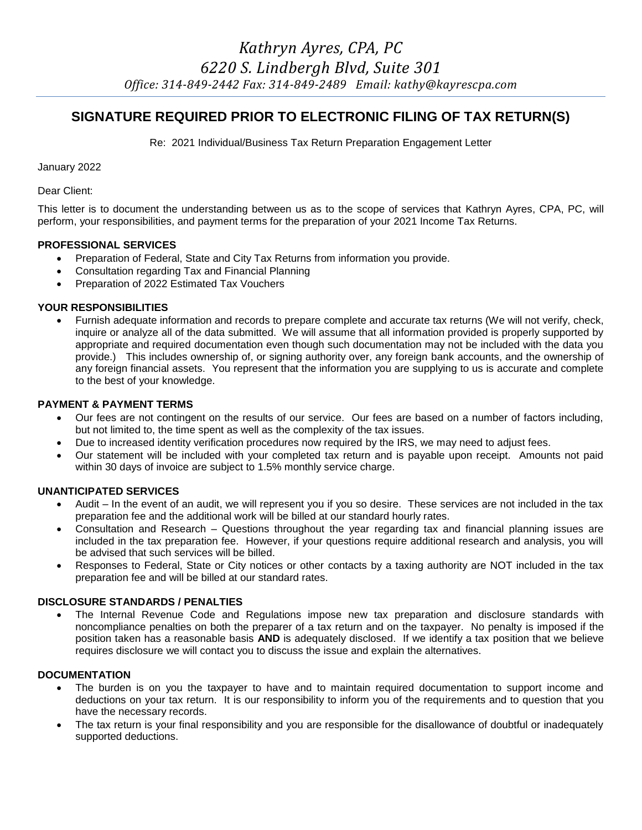# **SIGNATURE REQUIRED PRIOR TO ELECTRONIC FILING OF TAX RETURN(S)**

Re: 2021 Individual/Business Tax Return Preparation Engagement Letter

January 2022

Dear Client:

This letter is to document the understanding between us as to the scope of services that Kathryn Ayres, CPA, PC, will perform, your responsibilities, and payment terms for the preparation of your 2021 Income Tax Returns.

# **PROFESSIONAL SERVICES**

- Preparation of Federal, State and City Tax Returns from information you provide.
- Consultation regarding Tax and Financial Planning
- Preparation of 2022 Estimated Tax Vouchers

## **YOUR RESPONSIBILITIES**

 Furnish adequate information and records to prepare complete and accurate tax returns (We will not verify, check, inquire or analyze all of the data submitted. We will assume that all information provided is properly supported by appropriate and required documentation even though such documentation may not be included with the data you provide.) This includes ownership of, or signing authority over, any foreign bank accounts, and the ownership of any foreign financial assets. You represent that the information you are supplying to us is accurate and complete to the best of your knowledge.

# **PAYMENT & PAYMENT TERMS**

- Our fees are not contingent on the results of our service. Our fees are based on a number of factors including, but not limited to, the time spent as well as the complexity of the tax issues.
- Due to increased identity verification procedures now required by the IRS, we may need to adjust fees.
- Our statement will be included with your completed tax return and is payable upon receipt. Amounts not paid within 30 days of invoice are subject to 1.5% monthly service charge.

## **UNANTICIPATED SERVICES**

- Audit In the event of an audit, we will represent you if you so desire. These services are not included in the tax preparation fee and the additional work will be billed at our standard hourly rates.
- Consultation and Research Questions throughout the year regarding tax and financial planning issues are included in the tax preparation fee. However, if your questions require additional research and analysis, you will be advised that such services will be billed.
- Responses to Federal, State or City notices or other contacts by a taxing authority are NOT included in the tax preparation fee and will be billed at our standard rates.

## **DISCLOSURE STANDARDS / PENALTIES**

 The Internal Revenue Code and Regulations impose new tax preparation and disclosure standards with noncompliance penalties on both the preparer of a tax return and on the taxpayer. No penalty is imposed if the position taken has a reasonable basis **AND** is adequately disclosed. If we identify a tax position that we believe requires disclosure we will contact you to discuss the issue and explain the alternatives.

## **DOCUMENTATION**

- The burden is on you the taxpayer to have and to maintain required documentation to support income and deductions on your tax return. It is our responsibility to inform you of the requirements and to question that you have the necessary records.
- The tax return is your final responsibility and you are responsible for the disallowance of doubtful or inadequately supported deductions.